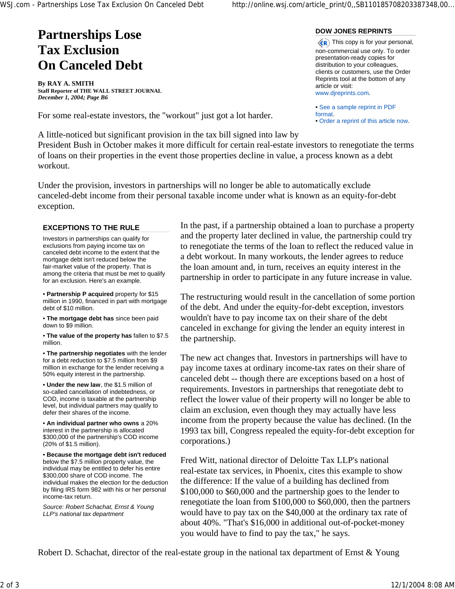# **Partnerships Lose Tax Exclusion On Canceled Debt**

**By RAY A. SMITH Staff Reporter of THE WALL STREET JOURNAL** *December 1, 2004; Page B6*

For some real-estate investors, the "workout" just got a lot harder.

## **DOW JONES REPRINTS**

 $\langle R \rangle$  This copy is for your personal, non-commercial use only. To order presentation-ready copies for distribution to your colleagues, clients or customers, use the Order Reprints tool at the bottom of any article or visit: www.djreprints.com.

• See a sample reprint in PDF format. • Order a reprint of this article now.

A little-noticed but significant provision in the tax bill signed into law by President Bush in October makes it more difficult for certain real-estate investors to renegotiate the terms of loans on their properties in the event those properties decline in value, a process known as a debt workout.

Under the provision, investors in partnerships will no longer be able to automatically exclude canceled-debt income from their personal taxable income under what is known as an equity-for-debt exception.

### **EXCEPTIONS TO THE RULE**

Investors in partnerships can qualify for exclusions from paying income tax on canceled debt income to the extent that the mortgage debt isn't reduced below the fair-market value of the property. That is among the criteria that must be met to qualify for an exclusion. Here's an example.

• **Partnership P acquired** property for \$15 million in 1990, financed in part with mortgage debt of \$10 million.

• **The mortgage debt has** since been paid down to \$9 million.

• **The value of the property has** fallen to \$7.5 million.

• **The partnership negotiates** with the lender for a debt reduction to \$7.5 million from \$9 million in exchange for the lender receiving a 50% equity interest in the partnership.

• **Under the new law**, the \$1.5 million of so-called cancellation of indebtedness, or COD, income is taxable at the partnership level, but individual partners may qualify to defer their shares of the income.

• **An individual partner who owns** a 20% interest in the partnership is allocated \$300,000 of the partnership's COD income (20% of \$1.5 million).

• **Because the mortgage debt isn't reduced** below the \$7.5 million property value, the individual may be entitled to defer his entire \$300,000 share of COD income. The individual makes the election for the deduction by filing IRS form 982 with his or her personal income-tax return.

*Source: Robert Schachat, Ernst & Young LLP's national tax department*

In the past, if a partnership obtained a loan to purchase a property and the property later declined in value, the partnership could try to renegotiate the terms of the loan to reflect the reduced value in a debt workout. In many workouts, the lender agrees to reduce the loan amount and, in turn, receives an equity interest in the partnership in order to participate in any future increase in value.

The restructuring would result in the cancellation of some portion of the debt. And under the equity-for-debt exception, investors wouldn't have to pay income tax on their share of the debt canceled in exchange for giving the lender an equity interest in the partnership.

The new act changes that. Investors in partnerships will have to pay income taxes at ordinary income-tax rates on their share of canceled debt -- though there are exceptions based on a host of requirements. Investors in partnerships that renegotiate debt to reflect the lower value of their property will no longer be able to claim an exclusion, even though they may actually have less income from the property because the value has declined. (In the 1993 tax bill, Congress repealed the equity-for-debt exception for corporations.)

Fred Witt, national director of Deloitte Tax LLP's national real-estate tax services, in Phoenix, cites this example to show the difference: If the value of a building has declined from \$100,000 to \$60,000 and the partnership goes to the lender to renegotiate the loan from \$100,000 to \$60,000, then the partners would have to pay tax on the \$40,000 at the ordinary tax rate of about 40%. "That's \$16,000 in additional out-of-pocket-money you would have to find to pay the tax," he says.

Robert D. Schachat, director of the real-estate group in the national tax department of Ernst & Young